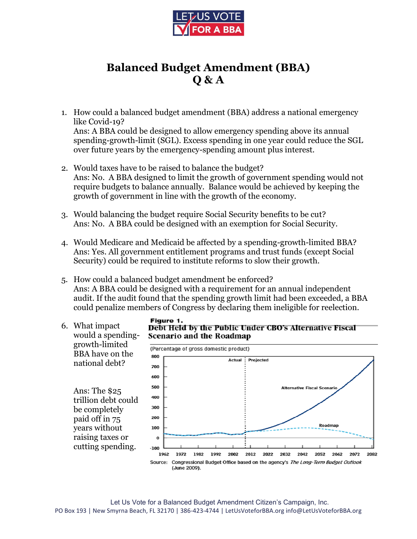

## **Balanced Budget Amendment (BBA) Q & A**

- 1. How could a balanced budget amendment (BBA) address a national emergency like Covid-19? Ans: A BBA could be designed to allow emergency spending above its annual spending-growth-limit (SGL). Excess spending in one year could reduce the SGL over future years by the emergency-spending amount plus interest.
- 2. Would taxes have to be raised to balance the budget? Ans: No. A BBA designed to limit the growth of government spending would not require budgets to balance annually. Balance would be achieved by keeping the growth of government in line with the growth of the economy.
- 3. Would balancing the budget require Social Security benefits to be cut? Ans: No. A BBA could be designed with an exemption for Social Security.
- 4. Would Medicare and Medicaid be affected by a spending-growth-limited BBA? Ans: Yes. All government entitlement programs and trust funds (except Social Security) could be required to institute reforms to slow their growth.
- 5. How could a balanced budget amendment be enforced? Ans: A BBA could be designed with a requirement for an annual independent audit. If the audit found that the spending growth limit had been exceeded, a BBA could penalize members of Congress by declaring them ineligible for reelection.
- 6. What impact would a spendinggrowth-limited BBA have on the national debt?

Ans: The \$25 trillion debt could be completely paid off in 75 years without raising taxes or cutting spending.

## Figure 1. Debt Held by the Public Under CBO's Alternative Fiscal **Scenario and the Roadmap**